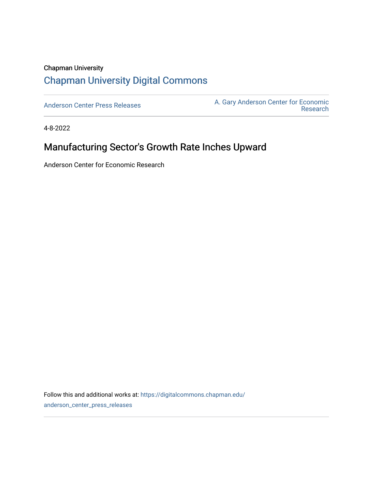## Chapman University [Chapman University Digital Commons](https://digitalcommons.chapman.edu/)

[Anderson Center Press Releases](https://digitalcommons.chapman.edu/anderson_center_press_releases) Anderson Center for Economic A. Gary Anderson Center for Economic [Research](https://digitalcommons.chapman.edu/anderson_center) 

4-8-2022

# Manufacturing Sector's Growth Rate Inches Upward

Anderson Center for Economic Research

Follow this and additional works at: [https://digitalcommons.chapman.edu/](https://digitalcommons.chapman.edu/anderson_center_press_releases?utm_source=digitalcommons.chapman.edu%2Fanderson_center_press_releases%2F132&utm_medium=PDF&utm_campaign=PDFCoverPages) [anderson\\_center\\_press\\_releases](https://digitalcommons.chapman.edu/anderson_center_press_releases?utm_source=digitalcommons.chapman.edu%2Fanderson_center_press_releases%2F132&utm_medium=PDF&utm_campaign=PDFCoverPages)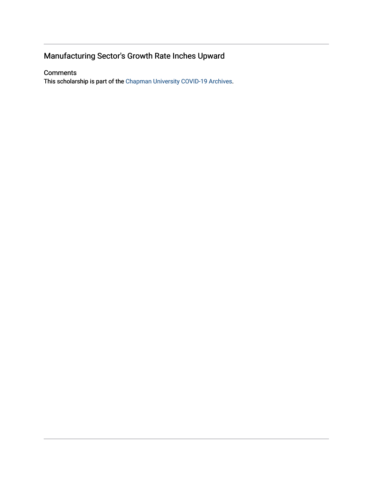## Manufacturing Sector's Growth Rate Inches Upward

#### **Comments**

This scholarship is part of the [Chapman University COVID-19 Archives](https://digitalcommons.chapman.edu/covid-19_archives/).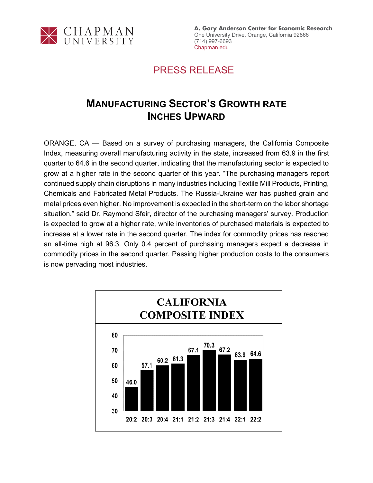

**A. Gary Anderson Center for Economic Research** One University Drive, Orange, California 92866 (714) 997-6693 Chapman.edu

## PRESS RELEASE

# **MANUFACTURING SECTOR'S GROWTH RATE INCHES UPWARD**

ORANGE, CA — Based on a survey of purchasing managers, the California Composite Index, measuring overall manufacturing activity in the state, increased from 63.9 in the first quarter to 64.6 in the second quarter, indicating that the manufacturing sector is expected to grow at a higher rate in the second quarter of this year. "The purchasing managers report continued supply chain disruptions in many industries including Textile Mill Products, Printing, Chemicals and Fabricated Metal Products. The Russia-Ukraine war has pushed grain and metal prices even higher. No improvement is expected in the short-term on the labor shortage situation," said Dr. Raymond Sfeir, director of the purchasing managers' survey. Production is expected to grow at a higher rate, while inventories of purchased materials is expected to increase at a lower rate in the second quarter. The index for commodity prices has reached an all-time high at 96.3. Only 0.4 percent of purchasing managers expect a decrease in commodity prices in the second quarter. Passing higher production costs to the consumers is now pervading most industries.

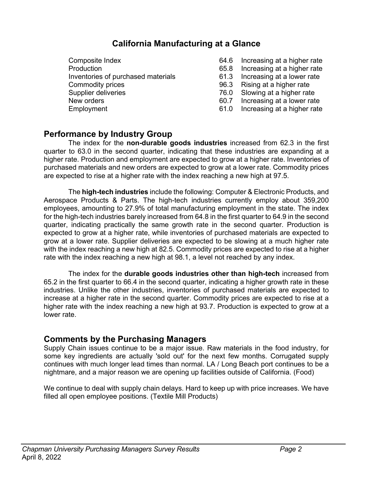### **California Manufacturing at a Glance**

Composite Index 64.6 Increasing at a higher rate Production 65.8 Increasing at a higher rate Inventories of purchased materials 61.3 Increasing at a lower rate Commodity prices 96.3 Rising at a higher rate Supplier deliveries 76.0 Slowing at a higher rate New orders **60.7** Increasing at a lower rate Employment 61.0 Increasing at a higher rate

- 
- 
- 
- 
- 
- 
- 

### **Performance by Industry Group**

The index for the **non-durable goods industries** increased from 62.3 in the first quarter to 63.0 in the second quarter, indicating that these industries are expanding at a higher rate. Production and employment are expected to grow at a higher rate. Inventories of purchased materials and new orders are expected to grow at a lower rate. Commodity prices are expected to rise at a higher rate with the index reaching a new high at 97.5.

The **high-tech industries** include the following: Computer & Electronic Products, and Aerospace Products & Parts. The high-tech industries currently employ about 359,200 employees, amounting to 27.9% of total manufacturing employment in the state. The index for the high-tech industries barely increased from 64.8 in the first quarter to 64.9 in the second quarter, indicating practically the same growth rate in the second quarter. Production is expected to grow at a higher rate, while inventories of purchased materials are expected to grow at a lower rate. Supplier deliveries are expected to be slowing at a much higher rate with the index reaching a new high at 82.5. Commodity prices are expected to rise at a higher rate with the index reaching a new high at 98.1, a level not reached by any index.

The index for the **durable goods industries other than high-tech** increased from 65.2 in the first quarter to 66.4 in the second quarter, indicating a higher growth rate in these industries. Unlike the other industries, inventories of purchased materials are expected to increase at a higher rate in the second quarter. Commodity prices are expected to rise at a higher rate with the index reaching a new high at 93.7. Production is expected to grow at a lower rate.

### **Comments by the Purchasing Managers**

Supply Chain issues continue to be a major issue. Raw materials in the food industry, for some key ingredients are actually 'sold out' for the next few months. Corrugated supply continues with much longer lead times than normal. LA / Long Beach port continues to be a nightmare, and a major reason we are opening up facilities outside of California. (Food)

We continue to deal with supply chain delays. Hard to keep up with price increases. We have filled all open employee positions. (Textile Mill Products)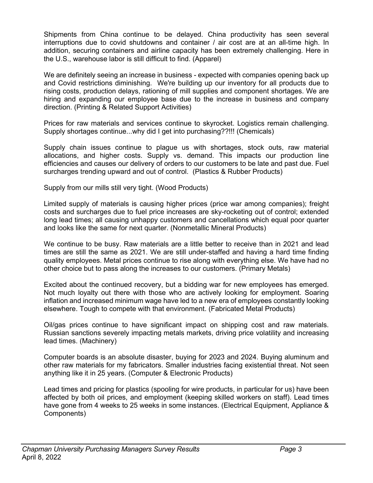Shipments from China continue to be delayed. China productivity has seen several interruptions due to covid shutdowns and container / air cost are at an all-time high. In addition, securing containers and airline capacity has been extremely challenging. Here in the U.S., warehouse labor is still difficult to find. (Apparel)

We are definitely seeing an increase in business - expected with companies opening back up and Covid restrictions diminishing. We're building up our inventory for all products due to rising costs, production delays, rationing of mill supplies and component shortages. We are hiring and expanding our employee base due to the increase in business and company direction. (Printing & Related Support Activities)

Prices for raw materials and services continue to skyrocket. Logistics remain challenging. Supply shortages continue...why did I get into purchasing??!!! (Chemicals)

Supply chain issues continue to plague us with shortages, stock outs, raw material allocations, and higher costs. Supply vs. demand. This impacts our production line efficiencies and causes our delivery of orders to our customers to be late and past due. Fuel surcharges trending upward and out of control. (Plastics & Rubber Products)

Supply from our mills still very tight. (Wood Products)

Limited supply of materials is causing higher prices (price war among companies); freight costs and surcharges due to fuel price increases are sky-rocketing out of control; extended long lead times; all causing unhappy customers and cancellations which equal poor quarter and looks like the same for next quarter. (Nonmetallic Mineral Products)

We continue to be busy. Raw materials are a little better to receive than in 2021 and lead times are still the same as 2021. We are still under-staffed and having a hard time finding quality employees. Metal prices continue to rise along with everything else. We have had no other choice but to pass along the increases to our customers. (Primary Metals)

Excited about the continued recovery, but a bidding war for new employees has emerged. Not much loyalty out there with those who are actively looking for employment. Soaring inflation and increased minimum wage have led to a new era of employees constantly looking elsewhere. Tough to compete with that environment. (Fabricated Metal Products)

Oil/gas prices continue to have significant impact on shipping cost and raw materials. Russian sanctions severely impacting metals markets, driving price volatility and increasing lead times. (Machinery)

Computer boards is an absolute disaster, buying for 2023 and 2024. Buying aluminum and other raw materials for my fabricators. Smaller industries facing existential threat. Not seen anything like it in 25 years. (Computer & Electronic Products)

Lead times and pricing for plastics (spooling for wire products, in particular for us) have been affected by both oil prices, and employment (keeping skilled workers on staff). Lead times have gone from 4 weeks to 25 weeks in some instances. (Electrical Equipment, Appliance & Components)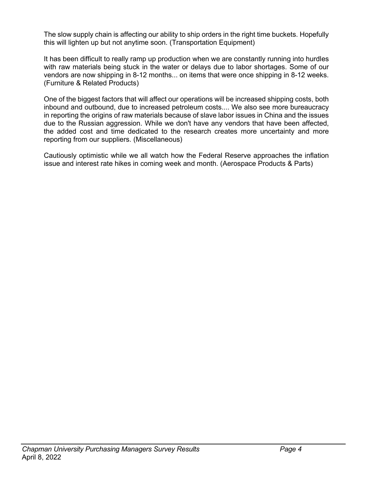The slow supply chain is affecting our ability to ship orders in the right time buckets. Hopefully this will lighten up but not anytime soon. (Transportation Equipment)

It has been difficult to really ramp up production when we are constantly running into hurdles with raw materials being stuck in the water or delays due to labor shortages. Some of our vendors are now shipping in 8-12 months... on items that were once shipping in 8-12 weeks. (Furniture & Related Products)

One of the biggest factors that will affect our operations will be increased shipping costs, both inbound and outbound, due to increased petroleum costs.... We also see more bureaucracy in reporting the origins of raw materials because of slave labor issues in China and the issues due to the Russian aggression. While we don't have any vendors that have been affected, the added cost and time dedicated to the research creates more uncertainty and more reporting from our suppliers. (Miscellaneous)

Cautiously optimistic while we all watch how the Federal Reserve approaches the inflation issue and interest rate hikes in coming week and month. (Aerospace Products & Parts)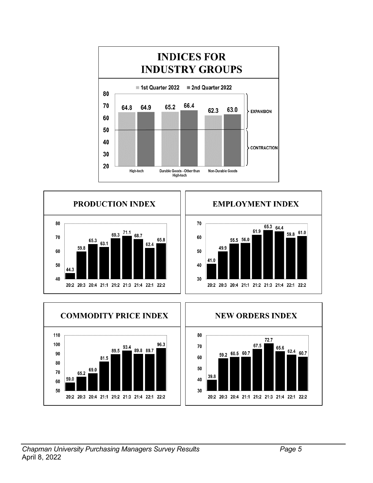







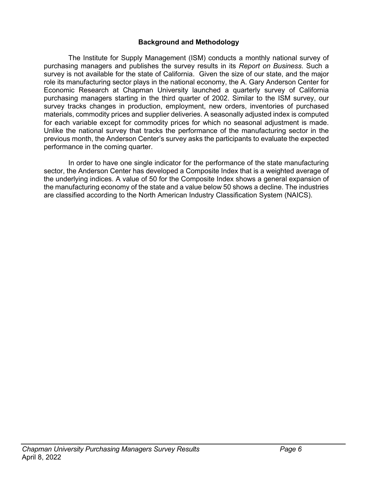#### **Background and Methodology**

The Institute for Supply Management (ISM) conducts a monthly national survey of purchasing managers and publishes the survey results in its *Report on Business*. Such a survey is not available for the state of California. Given the size of our state, and the major role its manufacturing sector plays in the national economy, the A. Gary Anderson Center for Economic Research at Chapman University launched a quarterly survey of California purchasing managers starting in the third quarter of 2002. Similar to the ISM survey, our survey tracks changes in production, employment, new orders, inventories of purchased materials, commodity prices and supplier deliveries. A seasonally adjusted index is computed for each variable except for commodity prices for which no seasonal adjustment is made. Unlike the national survey that tracks the performance of the manufacturing sector in the previous month, the Anderson Center's survey asks the participants to evaluate the expected performance in the coming quarter.

In order to have one single indicator for the performance of the state manufacturing sector, the Anderson Center has developed a Composite Index that is a weighted average of the underlying indices. A value of 50 for the Composite Index shows a general expansion of the manufacturing economy of the state and a value below 50 shows a decline. The industries are classified according to the North American Industry Classification System (NAICS).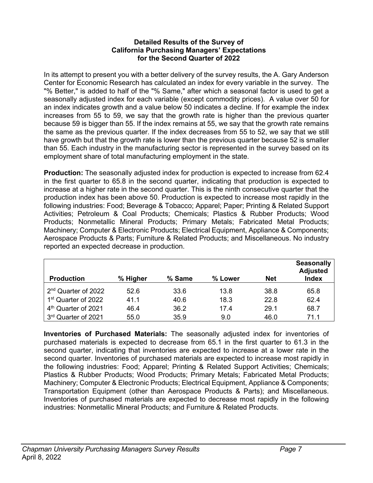#### **Detailed Results of the Survey of California Purchasing Managers' Expectations for the Second Quarter of 2022**

In its attempt to present you with a better delivery of the survey results, the A. Gary Anderson Center for Economic Research has calculated an index for every variable in the survey. The "% Better," is added to half of the "% Same," after which a seasonal factor is used to get a seasonally adjusted index for each variable (except commodity prices). A value over 50 for an index indicates growth and a value below 50 indicates a decline. If for example the index increases from 55 to 59, we say that the growth rate is higher than the previous quarter because 59 is bigger than 55. If the index remains at 55, we say that the growth rate remains the same as the previous quarter. If the index decreases from 55 to 52, we say that we still have growth but that the growth rate is lower than the previous quarter because 52 is smaller than 55. Each industry in the manufacturing sector is represented in the survey based on its employment share of total manufacturing employment in the state.

**Production:** The seasonally adjusted index for production is expected to increase from 62.4 in the first quarter to 65.8 in the second quarter, indicating that production is expected to increase at a higher rate in the second quarter. This is the ninth consecutive quarter that the production index has been above 50. Production is expected to increase most rapidly in the following industries: Food; Beverage & Tobacco; Apparel; Paper; Printing & Related Support Activities; Petroleum & Coal Products; Chemicals; Plastics & Rubber Products; Wood Products; Nonmetallic Mineral Products; Primary Metals; Fabricated Metal Products; Machinery; Computer & Electronic Products; Electrical Equipment, Appliance & Components; Aerospace Products & Parts; Furniture & Related Products; and Miscellaneous. No industry reported an expected decrease in production.

| <b>Production</b>               | % Higher | % Same | % Lower | <b>Net</b> | <b>Seasonally</b><br><b>Adjusted</b><br><b>Index</b> |
|---------------------------------|----------|--------|---------|------------|------------------------------------------------------|
| 2 <sup>nd</sup> Quarter of 2022 | 52.6     | 33.6   | 13.8    | 38.8       | 65.8                                                 |
| 1 <sup>st</sup> Quarter of 2022 | 41.1     | 40.6   | 18.3    | 22.8       | 62.4                                                 |
| 4 <sup>th</sup> Quarter of 2021 | 46.4     | 36.2   | 17.4    | 29.1       | 68.7                                                 |
| 3rd Quarter of 2021             | 55.0     | 35.9   | 9.0     | 46.0       | 71.1                                                 |

**Inventories of Purchased Materials:** The seasonally adjusted index for inventories of purchased materials is expected to decrease from 65.1 in the first quarter to 61.3 in the second quarter, indicating that inventories are expected to increase at a lower rate in the second quarter. Inventories of purchased materials are expected to increase most rapidly in the following industries: Food; Apparel; Printing & Related Support Activities; Chemicals; Plastics & Rubber Products; Wood Products; Primary Metals; Fabricated Metal Products; Machinery; Computer & Electronic Products; Electrical Equipment, Appliance & Components; Transportation Equipment (other than Aerospace Products & Parts); and Miscellaneous. Inventories of purchased materials are expected to decrease most rapidly in the following industries: Nonmetallic Mineral Products; and Furniture & Related Products.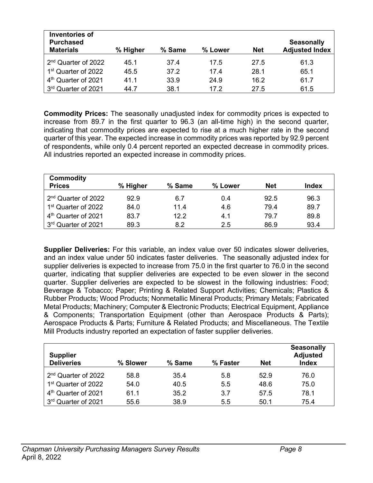| <b>Inventories of</b><br><b>Purchased</b><br><b>Materials</b> | % Higher | % Same | % Lower | <b>Net</b> | <b>Seasonally</b><br><b>Adjusted Index</b> |
|---------------------------------------------------------------|----------|--------|---------|------------|--------------------------------------------|
| 2 <sup>nd</sup> Quarter of 2022                               | 45.1     | 37.4   | 17.5    | 27.5       | 61.3                                       |
| 1 <sup>st</sup> Quarter of 2022                               | 45.5     | 37.2   | 17.4    | 28.1       | 65.1                                       |
| 4 <sup>th</sup> Quarter of 2021                               | 41.1     | 33.9   | 24.9    | 16.2       | 61.7                                       |
| 3rd Quarter of 2021                                           | 44.7     | 38.1   | 17.2    | 27.5       | 61.5                                       |

**Commodity Prices:** The seasonally unadjusted index for commodity prices is expected to increase from 89.7 in the first quarter to 96.3 (an all-time high) in the second quarter, indicating that commodity prices are expected to rise at a much higher rate in the second quarter of this year. The expected increase in commodity prices was reported by 92.9 percent of respondents, while only 0.4 percent reported an expected decrease in commodity prices. All industries reported an expected increase in commodity prices.

| <b>Commodity</b><br><b>Prices</b> | % Higher | % Same | % Lower | <b>Net</b> | Index |
|-----------------------------------|----------|--------|---------|------------|-------|
| 2 <sup>nd</sup> Quarter of 2022   | 92.9     | 6.7    | 0.4     | 92.5       | 96.3  |
| 1 <sup>st</sup> Quarter of 2022   | 84.0     | 11.4   | 4.6     | 79.4       | 89.7  |
| 4 <sup>th</sup> Quarter of 2021   | 83.7     | 122    | 4.1     | 79.7       | 89.8  |
| 3rd Quarter of 2021               | 89.3     | 8.2    | 2.5     | 86.9       | 93.4  |

**Supplier Deliveries:** For this variable, an index value over 50 indicates slower deliveries, and an index value under 50 indicates faster deliveries. The seasonally adjusted index for supplier deliveries is expected to increase from 75.0 in the first quarter to 76.0 in the second quarter, indicating that supplier deliveries are expected to be even slower in the second quarter. Supplier deliveries are expected to be slowest in the following industries: Food; Beverage & Tobacco; Paper; Printing & Related Support Activities; Chemicals; Plastics & Rubber Products; Wood Products; Nonmetallic Mineral Products; Primary Metals; Fabricated Metal Products; Machinery; Computer & Electronic Products; Electrical Equipment, Appliance & Components; Transportation Equipment (other than Aerospace Products & Parts); Aerospace Products & Parts; Furniture & Related Products; and Miscellaneous. The Textile Mill Products industry reported an expectation of faster supplier deliveries.

| <b>Supplier</b><br><b>Deliveries</b> | % Slower | % Same | % Faster | <b>Net</b> | <b>Seasonally</b><br><b>Adjusted</b><br><b>Index</b> |
|--------------------------------------|----------|--------|----------|------------|------------------------------------------------------|
| 2 <sup>nd</sup> Quarter of 2022      | 58.8     | 35.4   | 5.8      | 52.9       | 76.0                                                 |
| 1 <sup>st</sup> Quarter of 2022      | 54.0     | 40.5   | 5.5      | 48.6       | 75.0                                                 |
| 4 <sup>th</sup> Quarter of 2021      | 61.1     | 35.2   | 3.7      | 57.5       | 78.1                                                 |
| 3rd Quarter of 2021                  | 55.6     | 38.9   | 5.5      | 50.1       | 75.4                                                 |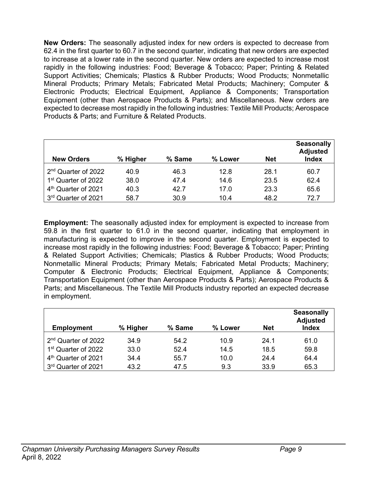**New Orders:** The seasonally adjusted index for new orders is expected to decrease from 62.4 in the first quarter to 60.7 in the second quarter, indicating that new orders are expected to increase at a lower rate in the second quarter. New orders are expected to increase most rapidly in the following industries: Food; Beverage & Tobacco; Paper; Printing & Related Support Activities; Chemicals; Plastics & Rubber Products; Wood Products; Nonmetallic Mineral Products; Primary Metals; Fabricated Metal Products; Machinery; Computer & Electronic Products; Electrical Equipment, Appliance & Components; Transportation Equipment (other than Aerospace Products & Parts); and Miscellaneous. New orders are expected to decrease most rapidly in the following industries: Textile Mill Products; Aerospace Products & Parts; and Furniture & Related Products.

| <b>New Orders</b>               | % Higher | % Same | % Lower | <b>Net</b> | <b>Seasonally</b><br><b>Adjusted</b><br><b>Index</b> |
|---------------------------------|----------|--------|---------|------------|------------------------------------------------------|
| 2 <sup>nd</sup> Quarter of 2022 | 40.9     | 46.3   | 12.8    | 28.1       | 60.7                                                 |
| 1 <sup>st</sup> Quarter of 2022 | 38.0     | 47.4   | 14.6    | 23.5       | 62.4                                                 |
| 4 <sup>th</sup> Quarter of 2021 | 40.3     | 42.7   | 17.0    | 23.3       | 65.6                                                 |
| 3rd Quarter of 2021             | 58.7     | 30.9   | 10.4    | 48.2       | 72.7                                                 |

**Employment:** The seasonally adjusted index for employment is expected to increase from 59.8 in the first quarter to 61.0 in the second quarter, indicating that employment in manufacturing is expected to improve in the second quarter. Employment is expected to increase most rapidly in the following industries: Food; Beverage & Tobacco; Paper; Printing & Related Support Activities; Chemicals; Plastics & Rubber Products; Wood Products; Nonmetallic Mineral Products; Primary Metals; Fabricated Metal Products; Machinery; Computer & Electronic Products; Electrical Equipment, Appliance & Components; Transportation Equipment (other than Aerospace Products & Parts); Aerospace Products & Parts; and Miscellaneous. The Textile Mill Products industry reported an expected decrease in employment.

| <b>Employment</b>               | % Higher | % Same | % Lower | <b>Net</b> | <b>Seasonally</b><br><b>Adjusted</b><br><b>Index</b> |
|---------------------------------|----------|--------|---------|------------|------------------------------------------------------|
| 2 <sup>nd</sup> Quarter of 2022 | 34.9     | 54.2   | 10.9    | 24.1       | 61.0                                                 |
| 1 <sup>st</sup> Quarter of 2022 | 33.0     | 52.4   | 14.5    | 18.5       | 59.8                                                 |
| 4 <sup>th</sup> Quarter of 2021 | 34.4     | 55.7   | 10.0    | 24.4       | 64.4                                                 |
| 3rd Quarter of 2021             | 43.2     | 47.5   | 9.3     | 33.9       | 65.3                                                 |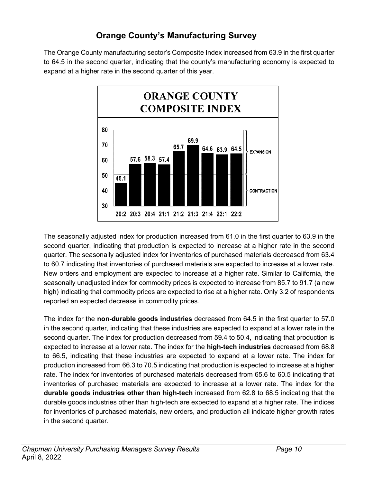### **Orange County's Manufacturing Survey**

The Orange County manufacturing sector's Composite Index increased from 63.9 in the first quarter to 64.5 in the second quarter, indicating that the county's manufacturing economy is expected to expand at a higher rate in the second quarter of this year.



The seasonally adjusted index for production increased from 61.0 in the first quarter to 63.9 in the second quarter, indicating that production is expected to increase at a higher rate in the second quarter. The seasonally adjusted index for inventories of purchased materials decreased from 63.4 to 60.7 indicating that inventories of purchased materials are expected to increase at a lower rate. New orders and employment are expected to increase at a higher rate. Similar to California, the seasonally unadjusted index for commodity prices is expected to increase from 85.7 to 91.7 (a new high) indicating that commodity prices are expected to rise at a higher rate. Only 3.2 of respondents reported an expected decrease in commodity prices.

The index for the **non-durable goods industries** decreased from 64.5 in the first quarter to 57.0 in the second quarter, indicating that these industries are expected to expand at a lower rate in the second quarter. The index for production decreased from 59.4 to 50.4, indicating that production is expected to increase at a lower rate. The index for the **high-tech industries** decreased from 68.8 to 66.5, indicating that these industries are expected to expand at a lower rate. The index for production increased from 66.3 to 70.5 indicating that production is expected to increase at a higher rate. The index for inventories of purchased materials decreased from 65.6 to 60.5 indicating that inventories of purchased materials are expected to increase at a lower rate. The index for the **durable goods industries other than high-tech** increased from 62.8 to 68.5 indicating that the durable goods industries other than high-tech are expected to expand at a higher rate. The indices for inventories of purchased materials, new orders, and production all indicate higher growth rates in the second quarter.